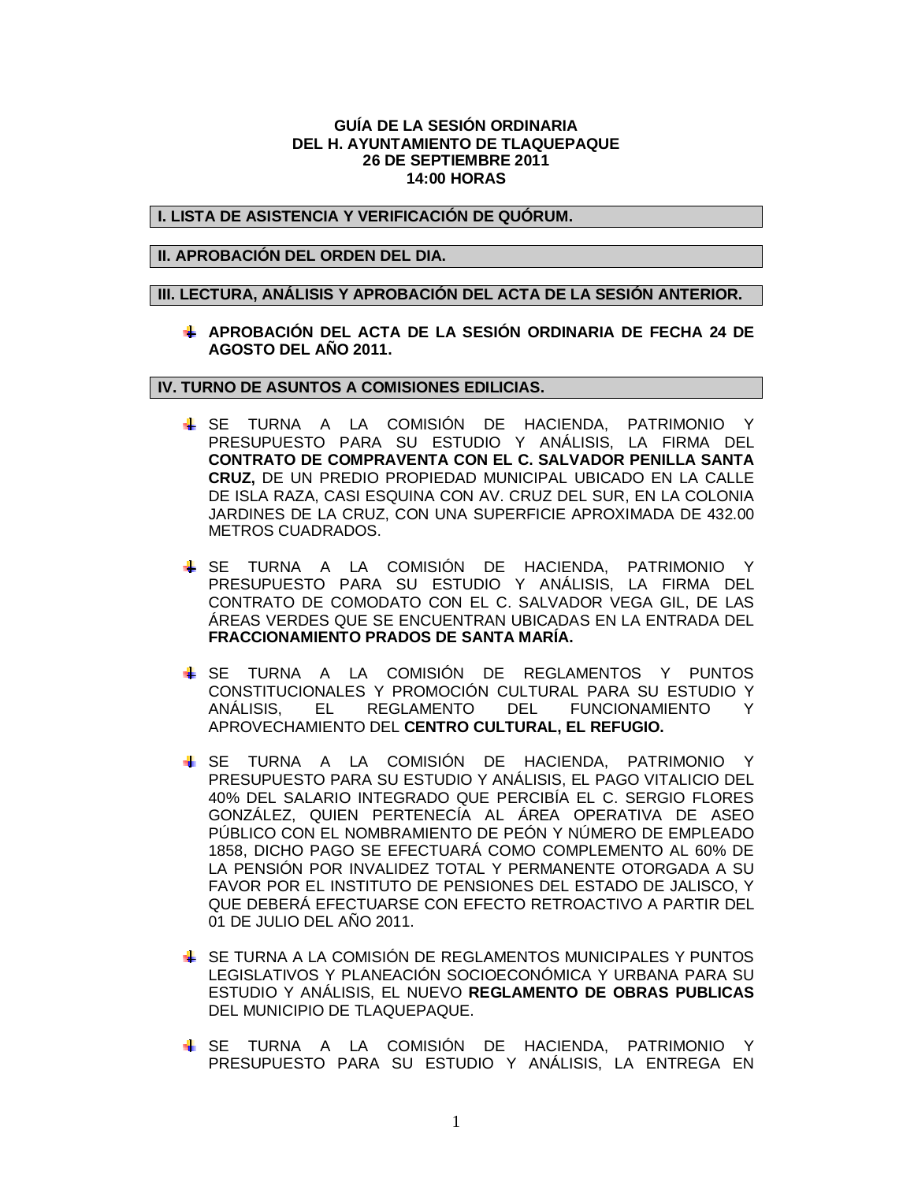### **GUÍA DE LA SESIÓN ORDINARIA DEL H. AYUNTAMIENTO DE TLAQUEPAQUE 26 DE SEPTIEMBRE 2011 14:00 HORAS**

**I. LISTA DE ASISTENCIA Y VERIFICACIÓN DE QUÓRUM.**

### **II. APROBACIÓN DEL ORDEN DEL DIA.**

#### **III. LECTURA, ANÁLISIS Y APROBACIÓN DEL ACTA DE LA SESIÓN ANTERIOR.**

**APROBACIÓN DEL ACTA DE LA SESIÓN ORDINARIA DE FECHA 24 DE AGOSTO DEL AÑO 2011.**

## **IV. TURNO DE ASUNTOS A COMISIONES EDILICIAS.**

- SE TURNA A LA COMISIÓN DE HACIENDA, PATRIMONIO Y PRESUPUESTO PARA SU ESTUDIO Y ANÁLISIS, LA FIRMA DEL **CONTRATO DE COMPRAVENTA CON EL C. SALVADOR PENILLA SANTA CRUZ,** DE UN PREDIO PROPIEDAD MUNICIPAL UBICADO EN LA CALLE DE ISLA RAZA, CASI ESQUINA CON AV. CRUZ DEL SUR, EN LA COLONIA JARDINES DE LA CRUZ, CON UNA SUPERFICIE APROXIMADA DE 432.00 METROS CUADRADOS.
- SE TURNA A LA COMISIÓN DE HACIENDA, PATRIMONIO Y PRESUPUESTO PARA SU ESTUDIO Y ANÁLISIS, LA FIRMA DEL CONTRATO DE COMODATO CON EL C. SALVADOR VEGA GIL, DE LAS ÁREAS VERDES QUE SE ENCUENTRAN UBICADAS EN LA ENTRADA DEL **FRACCIONAMIENTO PRADOS DE SANTA MARÍA.**
- SE TURNA A LA COMISIÓN DE REGLAMENTOS Y PUNTOS CONSTITUCIONALES Y PROMOCIÓN CULTURAL PARA SU ESTUDIO Y ANÁLISIS, EL REGLAMENTO DEL FUNCIONAMIENTO Y APROVECHAMIENTO DEL **CENTRO CULTURAL, EL REFUGIO.**
- SE TURNA A LA COMISIÓN DE HACIENDA, PATRIMONIO Y PRESUPUESTO PARA SU ESTUDIO Y ANÁLISIS, EL PAGO VITALICIO DEL 40% DEL SALARIO INTEGRADO QUE PERCIBÍA EL C. SERGIO FLORES GONZÁLEZ, QUIEN PERTENECÍA AL ÁREA OPERATIVA DE ASEO PÚBLICO CON EL NOMBRAMIENTO DE PEÓN Y NÚMERO DE EMPLEADO 1858, DICHO PAGO SE EFECTUARÁ COMO COMPLEMENTO AL 60% DE LA PENSIÓN POR INVALIDEZ TOTAL Y PERMANENTE OTORGADA A SU FAVOR POR EL INSTITUTO DE PENSIONES DEL ESTADO DE JALISCO, Y QUE DEBERÁ EFECTUARSE CON EFECTO RETROACTIVO A PARTIR DEL 01 DE JULIO DEL AÑO 2011.
- SE TURNA A LA COMISIÓN DE REGLAMENTOS MUNICIPALES Y PUNTOS LEGISLATIVOS Y PLANEACIÓN SOCIOECONÓMICA Y URBANA PARA SU ESTUDIO Y ANÁLISIS, EL NUEVO **REGLAMENTO DE OBRAS PUBLICAS** DEL MUNICIPIO DE TLAQUEPAQUE.
- SE TURNA A LA COMISIÓN DE HACIENDA, PATRIMONIO Y PRESUPUESTO PARA SU ESTUDIO Y ANÁLISIS, LA ENTREGA EN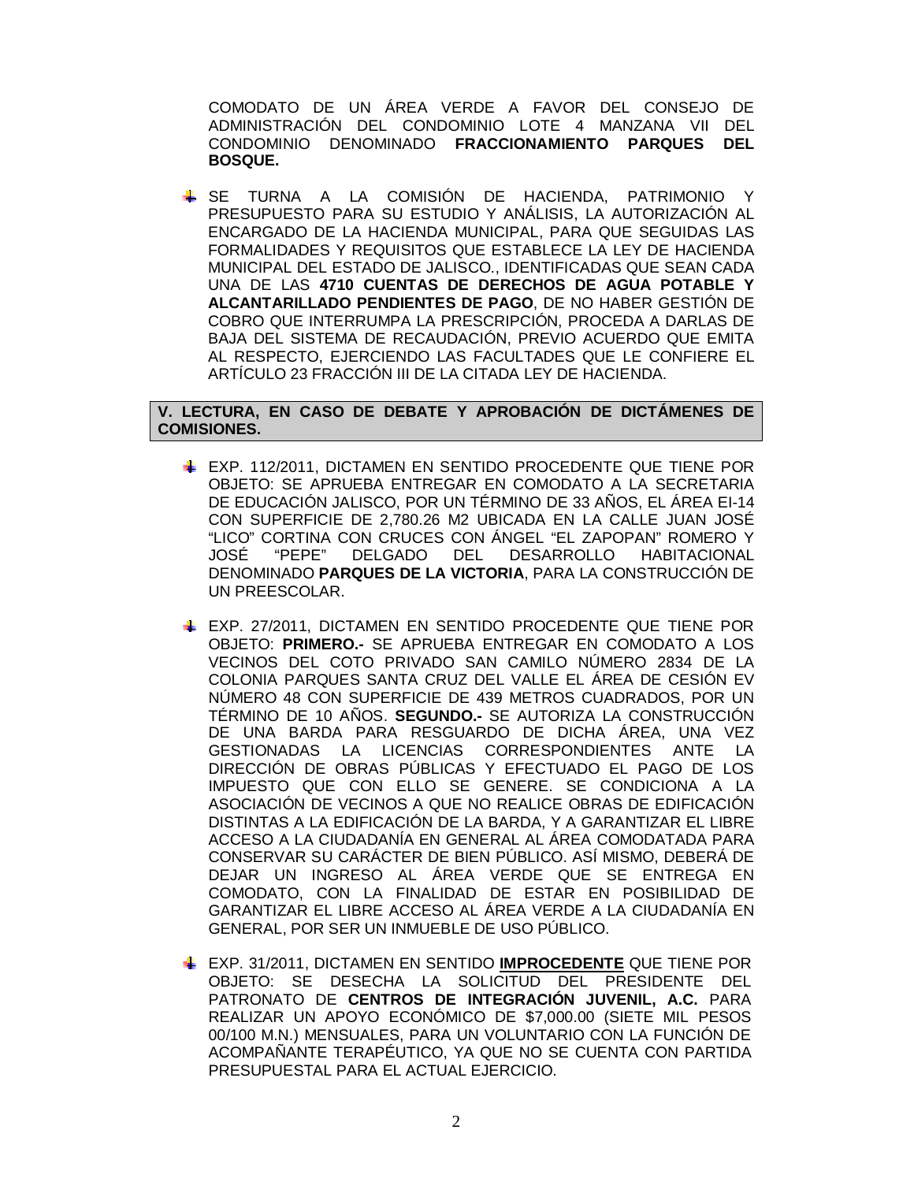COMODATO DE UN ÁREA VERDE A FAVOR DEL CONSEJO DE ADMINISTRACIÓN DEL CONDOMINIO LOTE 4 MANZANA VII DEL CONDOMINIO DENOMINADO **FRACCIONAMIENTO PARQUES DEL BOSQUE.**

SE TURNA A LA COMISIÓN DE HACIENDA, PATRIMONIO Y PRESUPUESTO PARA SU ESTUDIO Y ANÁLISIS, LA AUTORIZACIÓN AL ENCARGADO DE LA HACIENDA MUNICIPAL, PARA QUE SEGUIDAS LAS FORMALIDADES Y REQUISITOS QUE ESTABLECE LA LEY DE HACIENDA MUNICIPAL DEL ESTADO DE JALISCO., IDENTIFICADAS QUE SEAN CADA UNA DE LAS **4710 CUENTAS DE DERECHOS DE AGUA POTABLE Y ALCANTARILLADO PENDIENTES DE PAGO**, DE NO HABER GESTIÓN DE COBRO QUE INTERRUMPA LA PRESCRIPCIÓN, PROCEDA A DARLAS DE BAJA DEL SISTEMA DE RECAUDACIÓN, PREVIO ACUERDO QUE EMITA AL RESPECTO, EJERCIENDO LAS FACULTADES QUE LE CONFIERE EL ARTÍCULO 23 FRACCIÓN III DE LA CITADA LEY DE HACIENDA.

# **V. LECTURA, EN CASO DE DEBATE Y APROBACIÓN DE DICTÁMENES DE COMISIONES.**

- EXP. 112/2011, DICTAMEN EN SENTIDO PROCEDENTE QUE TIENE POR OBJETO: SE APRUEBA ENTREGAR EN COMODATO A LA SECRETARIA DE EDUCACIÓN JALISCO, POR UN TÉRMINO DE 33 AÑOS, EL ÁREA EI-14 CON SUPERFICIE DE 2,780.26 M2 UBICADA EN LA CALLE JUAN JOSÉ "LICO" CORTINA CON CRUCES CON ÁNGEL "EL ZAPOPAN" ROMERO Y JOSÉ "PEPE" DELGADO DEL DESARROLLO HABITACIONAL DENOMINADO **PARQUES DE LA VICTORIA**, PARA LA CONSTRUCCIÓN DE UN PREESCOLAR.
- EXP. 27/2011, DICTAMEN EN SENTIDO PROCEDENTE QUE TIENE POR OBJETO: **PRIMERO.-** SE APRUEBA ENTREGAR EN COMODATO A LOS VECINOS DEL COTO PRIVADO SAN CAMILO NÚMERO 2834 DE LA COLONIA PARQUES SANTA CRUZ DEL VALLE EL ÁREA DE CESIÓN EV NÚMERO 48 CON SUPERFICIE DE 439 METROS CUADRADOS, POR UN TÉRMINO DE 10 AÑOS. **SEGUNDO.-** SE AUTORIZA LA CONSTRUCCIÓN DE UNA BARDA PARA RESGUARDO DE DICHA ÁREA, UNA VEZ GESTIONADAS LA LICENCIAS CORRESPONDIENTES ANTE LA DIRECCIÓN DE OBRAS PÚBLICAS Y EFECTUADO EL PAGO DE LOS IMPUESTO QUE CON ELLO SE GENERE. SE CONDICIONA A LA ASOCIACIÓN DE VECINOS A QUE NO REALICE OBRAS DE EDIFICACIÓN DISTINTAS A LA EDIFICACIÓN DE LA BARDA, Y A GARANTIZAR EL LIBRE ACCESO A LA CIUDADANÍA EN GENERAL AL ÁREA COMODATADA PARA CONSERVAR SU CARÁCTER DE BIEN PÚBLICO. ASÍ MISMO, DEBERÁ DE DEJAR UN INGRESO AL ÁREA VERDE QUE SE ENTREGA EN COMODATO, CON LA FINALIDAD DE ESTAR EN POSIBILIDAD DE GARANTIZAR EL LIBRE ACCESO AL ÁREA VERDE A LA CIUDADANÍA EN GENERAL, POR SER UN INMUEBLE DE USO PÚBLICO.
- EXP. 31/2011, DICTAMEN EN SENTIDO **IMPROCEDENTE** QUE TIENE POR OBJETO: SE DESECHA LA SOLICITUD DEL PRESIDENTE DEL PATRONATO DE **CENTROS DE INTEGRACIÓN JUVENIL, A.C.** PARA REALIZAR UN APOYO ECONÓMICO DE \$7,000.00 (SIETE MIL PESOS 00/100 M.N.) MENSUALES, PARA UN VOLUNTARIO CON LA FUNCIÓN DE ACOMPAÑANTE TERAPÉUTICO, YA QUE NO SE CUENTA CON PARTIDA PRESUPUESTAL PARA EL ACTUAL EJERCICIO.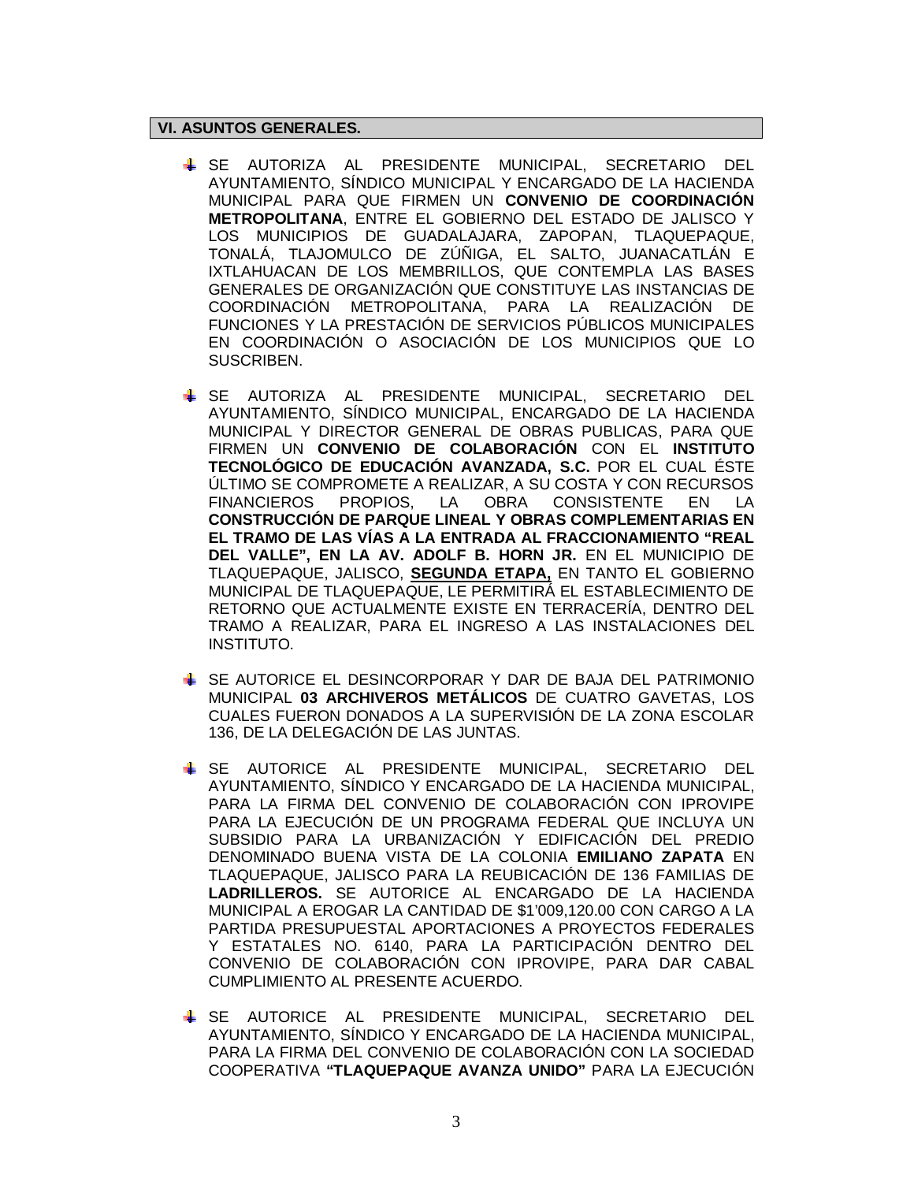# **VI. ASUNTOS GENERALES.**

- SE AUTORIZA AL PRESIDENTE MUNICIPAL, SECRETARIO DEL AYUNTAMIENTO, SÍNDICO MUNICIPAL Y ENCARGADO DE LA HACIENDA MUNICIPAL PARA QUE FIRMEN UN **CONVENIO DE COORDINACIÓN METROPOLITANA**, ENTRE EL GOBIERNO DEL ESTADO DE JALISCO Y LOS MUNICIPIOS DE GUADALAJARA, ZAPOPAN, TLAQUEPAQUE, TONALÁ, TLAJOMULCO DE ZÚÑIGA, EL SALTO, JUANACATLÁN E IXTLAHUACAN DE LOS MEMBRILLOS, QUE CONTEMPLA LAS BASES GENERALES DE ORGANIZACIÓN QUE CONSTITUYE LAS INSTANCIAS DE COORDINACIÓN METROPOLITANA, PARA LA REALIZACIÓN DE FUNCIONES Y LA PRESTACIÓN DE SERVICIOS PÚBLICOS MUNICIPALES EN COORDINACIÓN O ASOCIACIÓN DE LOS MUNICIPIOS QUE LO SUSCRIBEN.
- SE AUTORIZA AL PRESIDENTE MUNICIPAL, SECRETARIO DEL AYUNTAMIENTO, SÍNDICO MUNICIPAL, ENCARGADO DE LA HACIENDA MUNICIPAL Y DIRECTOR GENERAL DE OBRAS PUBLICAS, PARA QUE FIRMEN UN **CONVENIO DE COLABORACIÓN** CON EL **INSTITUTO TECNOLÓGICO DE EDUCACIÓN AVANZADA, S.C.** POR EL CUAL ÉSTE ÚLTIMO SE COMPROMETE A REALIZAR, A SU COSTA Y CON RECURSOS FINANCIEROS PROPIOS, LA OBRA CONSISTENTE EN LA **CONSTRUCCIÓN DE PARQUE LINEAL Y OBRAS COMPLEMENTARIAS EN EL TRAMO DE LAS VÍAS A LA ENTRADA AL FRACCIONAMIENTO "REAL DEL VALLE", EN LA AV. ADOLF B. HORN JR.** EN EL MUNICIPIO DE TLAQUEPAQUE, JALISCO, **SEGUNDA ETAPA,** EN TANTO EL GOBIERNO MUNICIPAL DE TLAQUEPAQUE, LE PERMITIRÁ EL ESTABLECIMIENTO DE RETORNO QUE ACTUALMENTE EXISTE EN TERRACERÍA, DENTRO DEL TRAMO A REALIZAR, PARA EL INGRESO A LAS INSTALACIONES DEL INSTITUTO.
- SE AUTORICE EL DESINCORPORAR Y DAR DE BAJA DEL PATRIMONIO MUNICIPAL **03 ARCHIVEROS METÁLICOS** DE CUATRO GAVETAS, LOS CUALES FUERON DONADOS A LA SUPERVISIÓN DE LA ZONA ESCOLAR 136, DE LA DELEGACIÓN DE LAS JUNTAS.
- SE AUTORICE AL PRESIDENTE MUNICIPAL, SECRETARIO DEL AYUNTAMIENTO, SÍNDICO Y ENCARGADO DE LA HACIENDA MUNICIPAL, PARA LA FIRMA DEL CONVENIO DE COLABORACIÓN CON IPROVIPE PARA LA EJECUCIÓN DE UN PROGRAMA FEDERAL QUE INCLUYA UN SUBSIDIO PARA LA URBANIZACIÓN Y EDIFICACIÓN DEL PREDIO DENOMINADO BUENA VISTA DE LA COLONIA **EMILIANO ZAPATA** EN TLAQUEPAQUE, JALISCO PARA LA REUBICACIÓN DE 136 FAMILIAS DE **LADRILLEROS.** SE AUTORICE AL ENCARGADO DE LA HACIENDA MUNICIPAL A EROGAR LA CANTIDAD DE \$1'009,120.00 CON CARGO A LA PARTIDA PRESUPUESTAL APORTACIONES A PROYECTOS FEDERALES Y ESTATALES NO. 6140, PARA LA PARTICIPACIÓN DENTRO DEL CONVENIO DE COLABORACIÓN CON IPROVIPE, PARA DAR CABAL CUMPLIMIENTO AL PRESENTE ACUERDO.
- SE AUTORICE AL PRESIDENTE MUNICIPAL, SECRETARIO DEL AYUNTAMIENTO, SÍNDICO Y ENCARGADO DE LA HACIENDA MUNICIPAL, PARA LA FIRMA DEL CONVENIO DE COLABORACIÓN CON LA SOCIEDAD COOPERATIVA **"TLAQUEPAQUE AVANZA UNIDO"** PARA LA EJECUCIÓN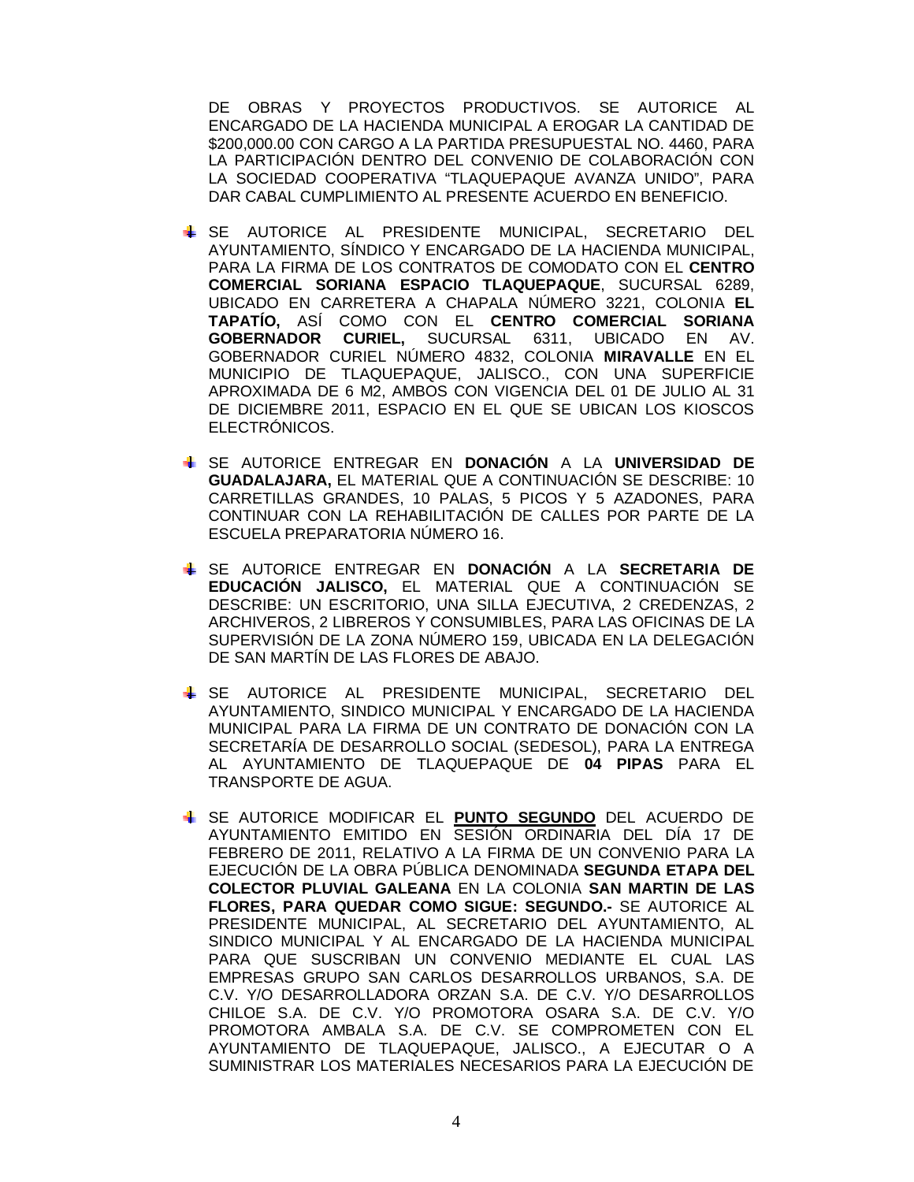DE OBRAS Y PROYECTOS PRODUCTIVOS. SE AUTORICE AL ENCARGADO DE LA HACIENDA MUNICIPAL A EROGAR LA CANTIDAD DE \$200,000.00 CON CARGO A LA PARTIDA PRESUPUESTAL NO. 4460, PARA LA PARTICIPACIÓN DENTRO DEL CONVENIO DE COLABORACIÓN CON LA SOCIEDAD COOPERATIVA "TLAQUEPAQUE AVANZA UNIDO", PARA DAR CABAL CUMPLIMIENTO AL PRESENTE ACUERDO EN BENEFICIO.

- SE AUTORICE AL PRESIDENTE MUNICIPAL, SECRETARIO DEL AYUNTAMIENTO, SÍNDICO Y ENCARGADO DE LA HACIENDA MUNICIPAL, PARA LA FIRMA DE LOS CONTRATOS DE COMODATO CON EL **CENTRO COMERCIAL SORIANA ESPACIO TLAQUEPAQUE**, SUCURSAL 6289, UBICADO EN CARRETERA A CHAPALA NÚMERO 3221, COLONIA **EL TAPATÍO,** ASÍ COMO CON EL **CENTRO COMERCIAL SORIANA GOBERNADOR CURIEL,** SUCURSAL 6311, UBICADO EN AV. GOBERNADOR CURIEL NÚMERO 4832, COLONIA **MIRAVALLE** EN EL MUNICIPIO DE TLAQUEPAQUE, JALISCO., CON UNA SUPERFICIE APROXIMADA DE 6 M2, AMBOS CON VIGENCIA DEL 01 DE JULIO AL 31 DE DICIEMBRE 2011, ESPACIO EN EL QUE SE UBICAN LOS KIOSCOS ELECTRÓNICOS.
- SE AUTORICE ENTREGAR EN **DONACIÓN** A LA **UNIVERSIDAD DE GUADALAJARA,** EL MATERIAL QUE A CONTINUACIÓN SE DESCRIBE: 10 CARRETILLAS GRANDES, 10 PALAS, 5 PICOS Y 5 AZADONES, PARA CONTINUAR CON LA REHABILITACIÓN DE CALLES POR PARTE DE LA ESCUELA PREPARATORIA NÚMERO 16.
- SE AUTORICE ENTREGAR EN **DONACIÓN** A LA **SECRETARIA DE EDUCACIÓN JALISCO,** EL MATERIAL QUE A CONTINUACIÓN SE DESCRIBE: UN ESCRITORIO, UNA SILLA EJECUTIVA, 2 CREDENZAS, 2 ARCHIVEROS, 2 LIBREROS Y CONSUMIBLES, PARA LAS OFICINAS DE LA SUPERVISIÓN DE LA ZONA NÚMERO 159, UBICADA EN LA DELEGACIÓN DE SAN MARTÍN DE LAS FLORES DE ABAJO.
- SE AUTORICE AL PRESIDENTE MUNICIPAL, SECRETARIO DEL AYUNTAMIENTO, SINDICO MUNICIPAL Y ENCARGADO DE LA HACIENDA MUNICIPAL PARA LA FIRMA DE UN CONTRATO DE DONACIÓN CON LA SECRETARÍA DE DESARROLLO SOCIAL (SEDESOL), PARA LA ENTREGA AL AYUNTAMIENTO DE TLAQUEPAQUE DE **04 PIPAS** PARA EL TRANSPORTE DE AGUA.
- SE AUTORICE MODIFICAR EL **PUNTO SEGUNDO** DEL ACUERDO DE AYUNTAMIENTO EMITIDO EN SESIÓN ORDINARIA DEL DÍA 17 DE FEBRERO DE 2011, RELATIVO A LA FIRMA DE UN CONVENIO PARA LA EJECUCIÓN DE LA OBRA PÚBLICA DENOMINADA **SEGUNDA ETAPA DEL COLECTOR PLUVIAL GALEANA** EN LA COLONIA **SAN MARTIN DE LAS FLORES, PARA QUEDAR COMO SIGUE: SEGUNDO.-** SE AUTORICE AL PRESIDENTE MUNICIPAL, AL SECRETARIO DEL AYUNTAMIENTO, AL SINDICO MUNICIPAL Y AL ENCARGADO DE LA HACIENDA MUNICIPAL PARA QUE SUSCRIBAN UN CONVENIO MEDIANTE EL CUAL LAS EMPRESAS GRUPO SAN CARLOS DESARROLLOS URBANOS, S.A. DE C.V. Y/O DESARROLLADORA ORZAN S.A. DE C.V. Y/O DESARROLLOS CHILOE S.A. DE C.V. Y/O PROMOTORA OSARA S.A. DE C.V. Y/O PROMOTORA AMBALA S.A. DE C.V. SE COMPROMETEN CON EL AYUNTAMIENTO DE TLAQUEPAQUE, JALISCO., A EJECUTAR O A SUMINISTRAR LOS MATERIALES NECESARIOS PARA LA EJECUCIÓN DE